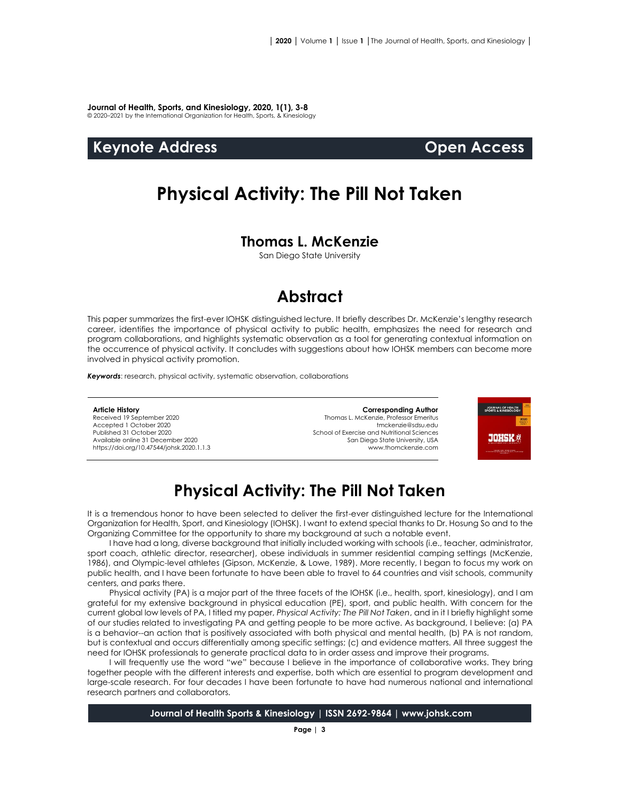**Journal of Health, Sports, and Kinesiology, 2020, 1(1), 3-8** © 2020–2021 by the International Organization for Health, Sports, & Kinesiology

**Keynote Address Open Access** 

# **Physical Activity: The Pill Not Taken**

#### **Thomas L. McKenzie**

San Diego State University

# **Abstract**

This paper summarizes the first-ever IOHSK distinguished lecture. It briefly describes Dr. McKenzie's lengthy research career, identifies the importance of physical activity to public health, emphasizes the need for research and program collaborations, and highlights systematic observation as a tool for generating contextual information on the occurrence of physical activity. It concludes with suggestions about how IOHSK members can become more involved in physical activity promotion.

*Keywords*: research, physical activity, systematic observation, collaborations

#### **Article History**

Received 19 September 2020 Accepted 1 October 2020 Published 31 October 2020 Available online 31 December 2020 <https://doi.org/10.47544/johsk.2020.1.1.3>

**Corresponding Author** Thomas L. McKenzie, Professor Emeritus [tmckenzie@sdsu.edu](mailto:tmckenzie@sdsu.edu) School of Exercise and Nutritional Sciences San Diego State University, USA [www.thomckenzie.com](http://www.thomckenzie.com/)



# **Physical Activity: The Pill Not Taken**

It is a tremendous honor to have been selected to deliver the first-ever distinguished lecture for the International Organization for Health, Sport, and Kinesiology (IOHSK). I want to extend special thanks to Dr. Hosung So and to the Organizing Committee for the opportunity to share my background at such a notable event.

I have had a long, diverse background that initially included working with schools (i.e., teacher, administrator, sport coach, athletic director, researcher), obese individuals in summer residential camping settings (McKenzie, 1986), and Olympic-level athletes (Gipson, McKenzie, & Lowe, 1989). More recently, I began to focus my work on public health, and I have been fortunate to have been able to travel to 64 countries and visit schools, community centers, and parks there.

Physical activity (PA) is a major part of the three facets of the IOHSK (i.e., health, sport, kinesiology), and I am grateful for my extensive background in physical education (PE), sport, and public health. With concern for the current global low levels of PA, I titled my paper, *Physical Activity: The Pill Not Taken*, and in it I briefly highlight some of our studies related to investigating PA and getting people to be more active. As background, I believe: (a) PA is a behavior--an action that is positively associated with both physical and mental health, (b) PA is not random, but is contextual and occurs differentially among specific settings; (c) and evidence matters. All three suggest the need for IOHSK professionals to generate practical data to in order assess and improve their programs.

I will frequently use the word "*we*" because I believe in the importance of collaborative works. They bring together people with the different interests and expertise, both which are essential to program development and large-scale research. For four decades I have been fortunate to have had numerous national and international research partners and collaborators.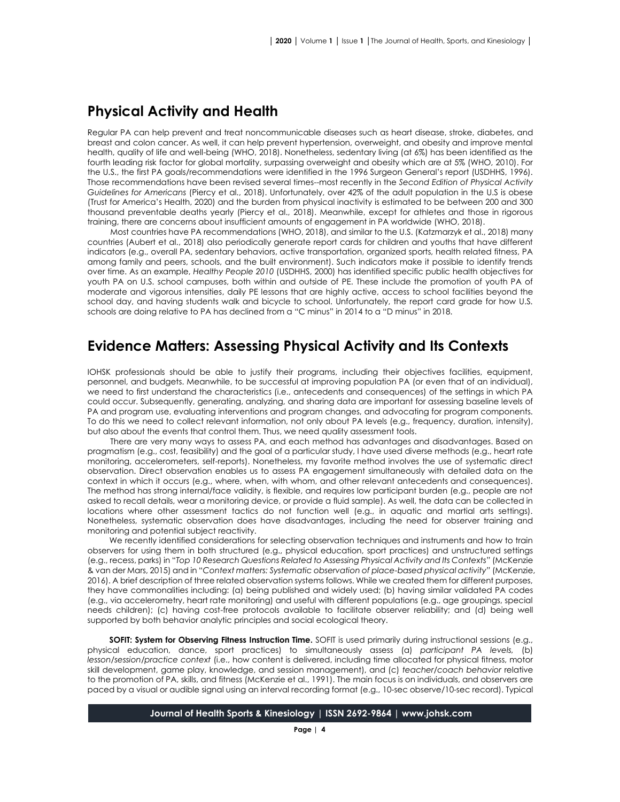### **Physical Activity and Health**

Regular PA can help prevent and treat noncommunicable diseases such as heart disease, stroke, diabetes, and breast and colon cancer. As well, it can help prevent hypertension, overweight, and obesity and improve mental health, quality of life and well-being (WHO, 2018). Nonetheless, sedentary living (at 6%) has been identified as the fourth leading risk factor for global mortality, surpassing overweight and obesity which are at 5% (WHO, 2010). For the U.S., the first PA goals/recommendations were identified in the 1996 Surgeon General's report (USDHHS, 1996). Those recommendations have been revised several times--most recently in the *Second Edition of Physical Activity Guidelines for Americans* (Piercy et al., 2018). Unfortunately, over 42% of the adult population in the U.S is obese (Trust for America's Health, 2020) and the burden from physical inactivity is estimated to be between 200 and 300 thousand preventable deaths yearly (Piercy et al., 2018). Meanwhile, except for athletes and those in rigorous training, there are concerns about insufficient amounts of engagement in PA worldwide (WHO, 2018).

Most countries have PA recommendations (WHO, 2018), and similar to the U.S. (Katzmarzyk et al., 2018) many countries (Aubert et al., 2018) also periodically generate report cards for children and youths that have different indicators (e.g., overall PA, sedentary behaviors, active transportation, organized sports, health related fitness, PA among family and peers, schools, and the built environment). Such indicators make it possible to identify trends over time. As an example, *Healthy People 2010* (USDHHS, 2000) has identified specific public health objectives for youth PA on U.S. school campuses, both within and outside of PE. These include the promotion of youth PA of moderate and vigorous intensities, daily PE lessons that are highly active, access to school facilities beyond the school day, and having students walk and bicycle to school. Unfortunately, the report card grade for how U.S. schools are doing relative to PA has declined from a "C minus" in 2014 to a "D minus" in 2018.

#### **Evidence Matters: Assessing Physical Activity and Its Contexts**

IOHSK professionals should be able to justify their programs, including their objectives facilities, equipment, personnel, and budgets. Meanwhile, to be successful at improving population PA (or even that of an individual), we need to first understand the characteristics (i.e., antecedents and consequences) of the settings in which PA could occur. Subsequently, generating, analyzing, and sharing data are important for assessing baseline levels of PA and program use, evaluating interventions and program changes, and advocating for program components. To do this we need to collect relevant information, not only about PA levels (e.g., frequency, duration, intensity), but also about the events that control them. Thus, we need quality assessment tools.

There are very many ways to assess PA, and each method has advantages and disadvantages. Based on pragmatism (e.g., cost, feasibility) and the goal of a particular study, I have used diverse methods (e.g., heart rate monitoring, accelerometers, self-reports). Nonetheless, my favorite method involves the use of systematic direct observation. Direct observation enables us to assess PA engagement simultaneously with detailed data on the context in which it occurs (e.g., where, when, with whom, and other relevant antecedents and consequences). The method has strong internal/face validity, is flexible, and requires low participant burden (e.g., people are not asked to recall details, wear a monitoring device, or provide a fluid sample). As well, the data can be collected in locations where other assessment tactics do not function well (e.g., in aquatic and martial arts settings). Nonetheless, systematic observation does have disadvantages, including the need for observer training and monitoring and potential subject reactivity.

We recently identified considerations for selecting observation techniques and instruments and how to train observers for using them in both structured (e.g., physical education, sport practices) and unstructured settings (e.g., recess, parks) in "*Top 10 Research Questions Related to Assessing Physical Activity and Its Contexts*" (McKenzie & van der Mars, 2015) and in "*Context matters: Systematic observation of place-based physical activity"* (McKenzie, 2016). A brief description of three related observation systems follows. While we created them for different purposes, they have commonalities including: (a) being published and widely used; (b) having similar validated PA codes (e.g., via accelerometry, heart rate monitoring) and useful with different populations (e.g., age groupings, special needs children); (c) having cost-free protocols available to facilitate observer reliability; and (d) being well supported by both behavior analytic principles and social ecological theory.

**SOFIT: System for Observing Fitness Instruction Time.** SOFIT is used primarily during instructional sessions (e.g., physical education, dance, sport practices) to simultaneously assess (a) *participant PA levels,* (b) *lesson/session/practice context* (i.e., how content is delivered, including time allocated for physical fitness, motor skill development, game play, knowledge, and session management), and (c) *teacher/coach behavior* relative to the promotion of PA, skills, and fitness (McKenzie et al., 1991). The main focus is on individuals, and observers are paced by a visual or audible signal using an interval recording format (e.g., 10-sec observe/10-sec record). Typical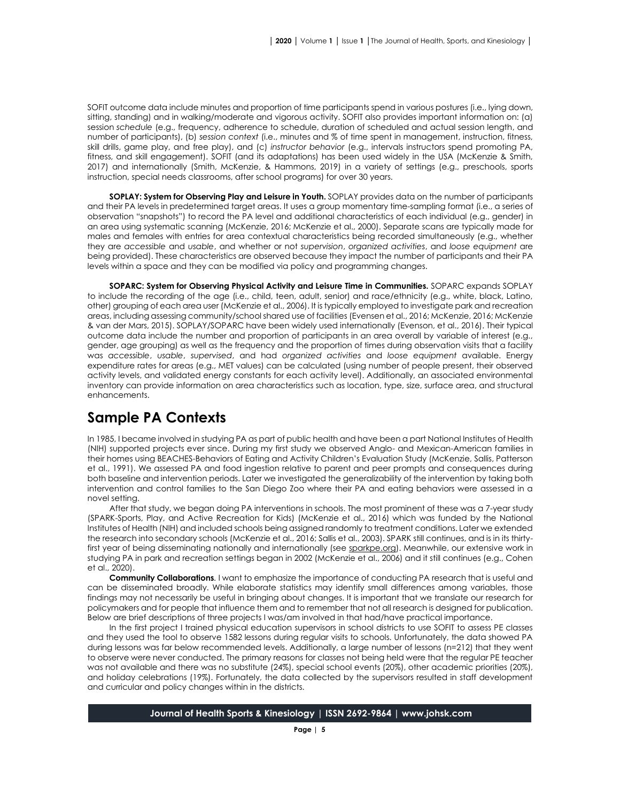SOFIT outcome data include minutes and proportion of time participants spend in various postures (i.e., lying down, sitting, standing) and in walking/moderate and vigorous activity. SOFIT also provides important information on: (a) session *schedule* (e.g., frequency, adherence to schedule, duration of scheduled and actual session length, and number of participants), (b) *session context* (i.e., minutes and % of time spent in management, instruction, fitness, skill drills, game play, and free play), and (c) *instructor behavior* (e.g., intervals instructors spend promoting PA, fitness, and skill engagement). SOFIT (and its adaptations) has been used widely in the USA (McKenzie & Smith, 2017) and internationally (Smith, McKenzie, & Hammons, 2019) in a variety of settings (e.g., preschools, sports instruction, special needs classrooms, after school programs) for over 30 years.

**SOPLAY: System for Observing Play and Leisure in Youth.** SOPLAY provides data on the number of participants and their PA levels in predetermined target areas. It uses a group momentary time-sampling format (i.e., a series of observation "snapshots") to record the PA level and additional characteristics of each individual (e.g., gender) in an area using systematic scanning (McKenzie, 2016; McKenzie et al., 2000). Separate scans are typically made for males and females with entries for area contextual characteristics being recorded simultaneously (e.g., whether they are *accessible* and *usable*, and whether or not *supervision*, *organized activities*, and *loose equipment* are being provided). These characteristics are observed because they impact the number of participants and their PA levels within a space and they can be modified via policy and programming changes.

**SOPARC: System for Observing Physical Activity and Leisure Time in Communities.** SOPARC expands SOPLAY to include the recording of the age (i.e., child, teen, adult, senior) and race/ethnicity (e.g., white, black, Latino, other) grouping of each area user (McKenzie et al., 2006). It is typically employed to investigate park and recreation areas, including assessing community/school shared use of facilities (Evensen et al., 2016; McKenzie, 2016; McKenzie & van der Mars, 2015). SOPLAY/SOPARC have been widely used internationally (Evenson, et al., 2016). Their typical outcome data include the number and proportion of participants in an area overall by variable of interest (e.g., gender, age grouping) as well as the frequency and the proportion of times during observation visits that a facility was *accessible*, *usable*, *supervised*, and had *organized activities* and *loose equipment* available. Energy expenditure rates for areas (e.g., MET values) can be calculated (using number of people present, their observed activity levels, and validated energy constants for each activity level). Additionally, an associated environmental inventory can provide information on area characteristics such as location, type, size, surface area, and structural enhancements.

## **Sample PA Contexts**

In 1985, I became involved in studying PA as part of public health and have been a part National Institutes of Health (NIH) supported projects ever since. During my first study we observed Anglo- and Mexican-American families in their homes using BEACHES-Behaviors of Eating and Activity Children's Evaluation Study (McKenzie, Sallis, Patterson et al., 1991). We assessed PA and food ingestion relative to parent and peer prompts and consequences during both baseline and intervention periods. Later we investigated the generalizability of the intervention by taking both intervention and control families to the San Diego Zoo where their PA and eating behaviors were assessed in a novel setting.

After that study, we began doing PA interventions in schools. The most prominent of these was a 7-year study (SPARK-Sports, Play, and Active Recreation for Kids) (McKenzie et al., 2016) which was funded by the National Institutes of Health (NIH) and included schools being assigned randomly to treatment conditions. Later we extended the research into secondary schools (McKenzie et al., 2016; Sallis et al., 2003). SPARK still continues, and is in its thirtyfirst year of being disseminating nationally and internationally (se[e sparkpe.org\)](http://sparkpe.org/). Meanwhile, our extensive work in studying PA in park and recreation settings began in 2002 (McKenzie et al., 2006) and it still continues (e.g., Cohen et al., 2020).

**Community Collaborations***.* I want to emphasize the importance of conducting PA research that is useful and can be disseminated broadly. While elaborate statistics may identify small differences among variables, those findings may not necessarily be useful in bringing about changes. It is important that we translate our research for policymakers and for people that influence them and to remember that not all research is designed for publication. Below are brief descriptions of three projects I was/am involved in that had/have practical importance.

In the first project I trained physical education supervisors in school districts to use SOFIT to assess PE classes and they used the tool to observe 1582 lessons during regular visits to schools. Unfortunately, the data showed PA during lessons was far below recommended levels. Additionally, a large number of lessons (n=212) that they went to observe were never conducted. The primary reasons for classes not being held were that the regular PE teacher was not available and there was no substitute (24%), special school events (20%), other academic priorities (20%), and holiday celebrations (19%). Fortunately, the data collected by the supervisors resulted in staff development and curricular and policy changes within in the districts.

```
Journal of Health Sports & Kinesiology | ISSN 2692-9864 | www.johsk.com
```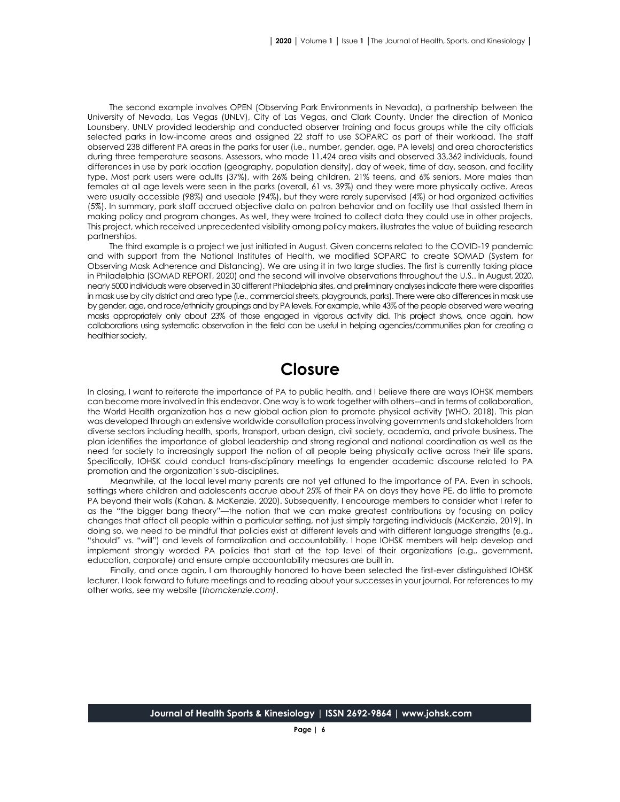The second example involves OPEN (Observing Park Environments in Nevada), a partnership between the University of Nevada, Las Vegas (UNLV), City of Las Vegas, and Clark County. Under the direction of Monica Lounsbery, UNLV provided leadership and conducted observer training and focus groups while the city officials selected parks in low-income areas and assigned 22 staff to use SOPARC as part of their workload. The staff observed 238 different PA areas in the parks for user (i.e., number, gender, age, PA levels) and area characteristics during three temperature seasons. Assessors, who made 11,424 area visits and observed 33,362 individuals, found differences in use by park location (geography, population density), day of week, time of day, season, and facility type. Most park users were adults (37%), with 26% being children, 21% teens, and 6% seniors. More males than females at all age levels were seen in the parks (overall, 61 vs. 39%) and they were more physically active. Areas were usually accessible (98%) and useable (94%), but they were rarely supervised (4%) or had organized activities (5%). In summary, park staff accrued objective data on patron behavior and on facility use that assisted them in making policy and program changes. As well, they were trained to collect data they could use in other projects. This project, which received unprecedented visibility among policy makers, illustrates the value of building research partnerships.

The third example is a project we just initiated in August. Given concerns related to the COVID-19 pandemic and with support from the National Institutes of Health, we modified SOPARC to create SOMAD (System for Observing Mask Adherence and Distancing). We are using it in two large studies. The first is currently taking place in Philadelphia (SOMAD REPORT, 2020) and the second will involve observations throughout the U.S.. In August, 2020, nearly 5000 individuals were observed in 30 different Philadelphia sites, and preliminary analyses indicate there were disparities in mask use by city district and area type (i.e., commercial streets, playgrounds, parks). There were also differences in mask use by gender, age, and race/ethnicity groupings and by PA levels. For example, while 43% of the people observed were wearing masks appropriately only about 23% of those engaged in vigorous activity did. This project shows, once again, how collaborations using systematic observation in the field can be useful in helping agencies/communities plan for creating a healthier society.

## **Closure**

In closing, I want to reiterate the importance of PA to public health, and I believe there are ways IOHSK members can become more involved in this endeavor. One way is to work together with others--and in terms of collaboration, the World Health organization has a new global action plan to promote physical activity (WHO, 2018). This plan was developed through an extensive worldwide consultation process involving governments and stakeholders from diverse sectors including health, sports, transport, urban design, civil society, academia, and private business. The plan identifies the importance of global leadership and strong regional and national coordination as well as the need for society to increasingly support the notion of all people being physically active across their life spans. Specifically, IOHSK could conduct trans-disciplinary meetings to engender academic discourse related to PA promotion and the organization's sub-disciplines.

Meanwhile, at the local level many parents are not yet attuned to the importance of PA. Even in schools, settings where children and adolescents accrue about 25% of their PA on days they have PE, do little to promote PA beyond their walls (Kahan, & McKenzie, 2020). Subsequently, I encourage members to consider what I refer to as the "the bigger bang theory"—the notion that we can make greatest contributions by focusing on policy changes that affect all people within a particular setting, not just simply targeting individuals (McKenzie, 2019). In doing so, we need to be mindful that policies exist at different levels and with different language strengths (e.g., "should" vs. "will") and levels of formalization and accountability. I hope IOHSK members will help develop and implement strongly worded PA policies that start at the top level of their organizations (e.g., government, education, corporate) and ensure ample accountability measures are built in.

Finally, and once again, I am thoroughly honored to have been selected the first-ever distinguished IOHSK lecturer. I look forward to future meetings and to reading about your successes in your journal. For references to my other works, see my website (*thomckenzie.com)*.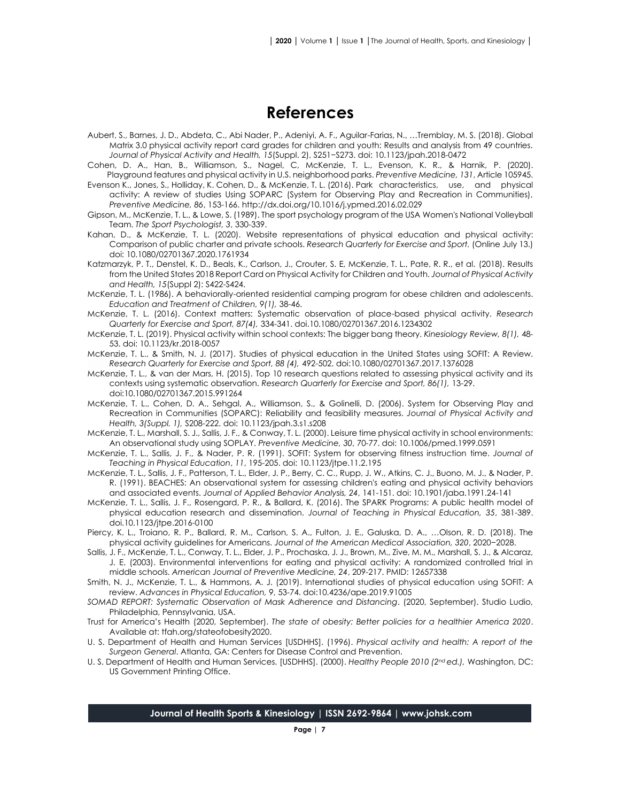## **References**

- Aubert, S., Barnes, J. D., Abdeta, C., Abi Nader, P., Adeniyi, A. F., Aguilar-Farias, N., …Tremblay, M. S. (2018). Global Matrix 3.0 physical activity report card grades for children and youth: Results and analysis from 49 countries. *Journal of Physical Activity and Health, 15*(Suppl. 2), S251−S273. doi[: 10.1123/jpah.2018-0472](https://doi.org/10.1123/jpah.2018-0472)
- Cohen, D. A., Han, B., Williamson, S., Nagel, C, McKenzie, T. L., Evenson, K. R., & Harnik, P. (2020). Playground features and physical activity in U.S. neighborhood parks. *Preventive Medicine, 131*, Article 105945.
- Evenson K., Jones, S., Holliday, K. Cohen, D., & McKenzie, T. L. (2016). Park characteristics, use, and physical activity: A review of studies Using SOPARC (System for Observing Play and Recreation in Communities), *Preventive Medicine, 86*, 153-166. <http://dx.doi.org/10.1016/j.ypmed.2016.02.029>
- Gipson, M., McKenzie, T. L., & Lowe, S. (1989). The sport psychology program of the USA Women's National Volleyball Team. *The Sport Psychologist, 3*, 330-339.
- Kahan, D., & McKenzie, T. L. (2020). Website representations of physical education and physical activity: Comparison of public charter and private schools. *Research Quarterly for Exercise and Sport.* (Online July 13.) doi[: 10.1080/02701367.2020.1761934](https://doi.org/10.1080/02701367.2020.1761934)
- Katzmarzyk, P. T., Denstel, K. D., Beals, K., Carlson, J., Crouter, S. E, McKenzie, T. L., Pate, R. R., et al. (2018). Results from the United States 2018 Report Card on Physical Activity for Children and Youth. *Journal of Physical Activity and Health, 15*(Suppl 2): S422-S424.
- McKenzie, T. L. (1986). A behaviorally-oriented residential camping program for obese children and adolescents. *Education and Treatment of Children, 9(1),* 38-46.
- McKenzie, T. L. (2016). Context matters: Systematic observation of place-based physical activity. *Research Quarterly for Exercise and Sport, 87(4),* 334-341. [doi.10.1080/02701367.2016.1234302](http://dx.doi.org/10.1080/02701367.2016.1234302)
- McKenzie, T. L. (2019). Physical activity within school contexts: The bigger bang theory. *Kinesiology Review, 8(1),* 48- 53. doi: 10.1123/kr.2018-0057
- McKenzie, T. L., & Smith, N. J. (2017). Studies of physical education in the United States using SOFIT: A Review. *Research Quarterly for Exercise and Sport, 88 (4),* 492-502. doi:10.1080/02701367.2017.1376028
- McKenzie, T. L., & van der Mars, H. (2015). Top 10 research questions related to assessing physical activity and its contexts using systematic observation. *Research Quarterly for Exercise and Sport, 86(1),* 13-29. doi:10.1080/02701367.2015.991264
- McKenzie, T. L., Cohen, D. A., Sehgal, A., Williamson, S., & Golinelli, D. (2006). System for Observing Play and Recreation in Communities (SOPARC): Reliability and feasibility measures. *Journal of Physical Activity and Health, 3(Suppl. 1),* S208-222. doi: 10.1123/jpah.3.s1.s208
- McKenzie, T. L., Marshall, S. J., Sallis, J. F., & Conway, T. L. (2000). Leisure time physical activity in school environments: An observational study using SOPLAY. *Preventive Medicine, 30*, 70-77. doi: 10.1006/pmed.1999.0591
- McKenzie, T. L., Sallis, J. F., & Nader, P. R. (1991). SOFIT: System for observing fitness instruction time. *Journal of Teaching in Physical Education*, *11*, 195-205. doi: 10.1123/jtpe.11.2.195
- McKenzie, T. L., Sallis, J. F., Patterson, T. L., Elder, J. P., Berry, C. C., Rupp, J. W., Atkins, C. J., Buono, M. J., & Nader, P. R. (1991). BEACHES: An observational system for assessing children's eating and physical activity behaviors and associated events. *Journal of Applied Behavior Analysis, 24*, 141-151. doi: 10.1901/jaba.1991.24-141
- McKenzie, T. L., Sallis, J. F., Rosengard, P. R., & Ballard, K. (2016). The SPARK Programs: A public health model of physical education research and dissemination. *Journal of Teaching in Physical Education, 35*, 381-389. doi.10.1123/jtpe.2016-0100
- Piercy, K. L., Troiano, R. P., Ballard, R. M., Carlson, S. A., Fulton, J. E., Galuska, D. A., …Olson, R. D. (2018). The physical activity guidelines for Americans. *Journal of the American Medical Association, 320*, 2020−2028.
- Sallis, J. F., McKenzie, T. L., Conway, T. L., Elder, J. P., Prochaska, J. J., Brown, M., Zive, M. M., Marshall, S. J., & Alcaraz, J. E. (2003). Environmental interventions for eating and physical activity: A randomized controlled trial in middle schools. *American Journal of Preventive Medicine, 24*, 209-217. PMID: 12657338
- Smith, N. J., McKenzie, T. L., & Hammons, A. J. (2019). International studies of physical education using SOFIT: A review. *Advances in Physical Education, 9*, 53-74. doi[:10.4236/ape.2019.91005](https://doi.org/10.4236/ape.2019.91005)
- *SOMAD REPORT: Systematic Observation of Mask Adherence and Distancing*. (2020, September). Studio Ludio, Philadelphia, Pennsylvania, USA.
- Trust for America's Health (2020, September). *The state of obesity: Better policies for a healthier America 2020*. Available at: tfah.org/stateofobesity2020.
- U. S. Department of Health and Human Services [USDHHS]. (1996). *Physical activity and health: A report of the Surgeon General*. Atlanta, GA: Centers for Disease Control and Prevention.
- U. S. Department of Health and Human Services. [USDHHS]. (2000). *Healthy People 2010 (2nd ed.),* Washington, DC: US Government Printing Office.